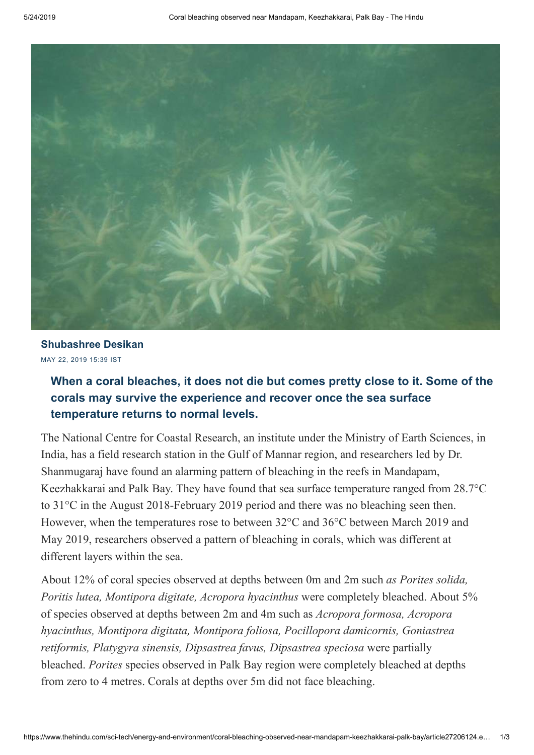

MAY 22, 2019 15:39 IST **[Shubashree Desikan](https://www.thehindu.com/profile/author/Shubashree-Desikan-249/)**

## **When a coral bleaches, it does not die but comes pretty close to it. Some of the corals may survive the experience and recover once the sea surface temperature returns to normal levels.**

The National Centre for Coastal Research, an institute under the Ministry of Earth Sciences, in India, has a field research station in the Gulf of Mannar region, and researchers led by Dr. Shanmugaraj have found an alarming pattern of bleaching in the reefs in Mandapam, Keezhakkarai and Palk Bay. They have found that sea surface temperature ranged from 28.7°C to 31°C in the August 2018-February 2019 period and there was no bleaching seen then. However, when the temperatures rose to between 32°C and 36°C between March 2019 and May 2019, researchers observed a pattern of bleaching in corals, which was different at different layers within the sea.

About 12% of coral species observed at depths between 0m and 2m such *as Porites solida, Poritis lutea, Montipora digitate, Acropora hyacinthus* were completely bleached. About 5% of species observed at depths between 2m and 4m such as *Acropora formosa, Acropora hyacinthus, Montipora digitata, Montipora foliosa, Pocillopora damicornis, Goniastrea retiformis, Platygyra sinensis, Dipsastrea favus, Dipsastrea speciosa* were partially bleached. *Porites* species observed in Palk Bay region were completely bleached at depths from zero to 4 metres. Corals at depths over 5m did not face bleaching.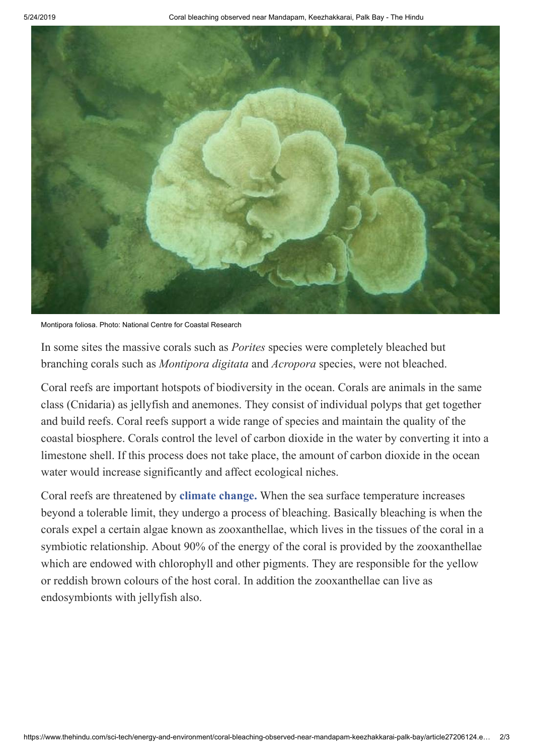

Montipora foliosa. Photo: National Centre for Coastal Research

In some sites the massive corals such as *Porites* species were completely bleached but branching corals such as *Montipora digitata* and *Acropora* species, were not bleached.

Coral reefs are important hotspots of biodiversity in the ocean. Corals are animals in the same class (Cnidaria) as jellyfish and anemones. They consist of individual polyps that get together and build reefs. Coral reefs support a wide range of species and maintain the quality of the coastal biosphere. Corals control the level of carbon dioxide in the water by converting it into a limestone shell. If this process does not take place, the amount of carbon dioxide in the ocean water would increase significantly and affect ecological niches.

Coral reefs are threatened by **[climate change.](https://www.thehindu.com/tag/994-993/climate-change/?utm=bodytag)** When the sea surface temperature increases beyond a tolerable limit, they undergo a process of bleaching. Basically bleaching is when the corals expel a certain algae known as zooxanthellae, which lives in the tissues of the coral in a symbiotic relationship. About 90% of the energy of the coral is provided by the zooxanthellae which are endowed with chlorophyll and other pigments. They are responsible for the yellow or reddish brown colours of the host coral. In addition the zooxanthellae can live as endosymbionts with jellyfish also.